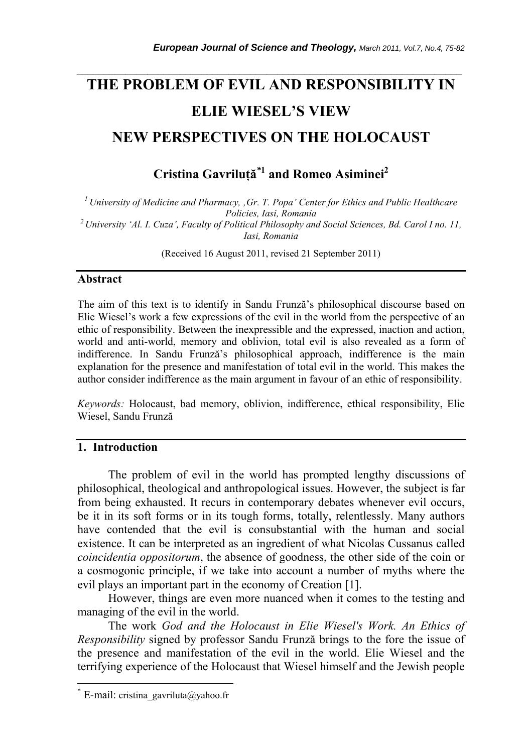# **THE PROBLEM OF EVIL AND RESPONSIBILITY IN ELIE WIESEL'S VIEW NEW PERSPECTIVES ON THE HOLOCAUST**

*\_\_\_\_\_\_\_\_\_\_\_\_\_\_\_\_\_\_\_\_\_\_\_\_\_\_\_\_\_\_\_\_\_\_\_\_\_\_\_\_\_\_\_\_\_\_\_\_\_\_\_\_\_\_\_\_\_\_\_\_\_\_\_\_\_\_\_\_\_\_\_* 

**Cristina Gavriluţă***\****<sup>1</sup> and Romeo Asiminei2**

*1 University of Medicine and Pharmacy, 'Gr. T. Popa' Center for Ethics and Public Healthcare Policies, Iasi, Romania 2 University 'Al. I. Cuza', Faculty of Political Philosophy and Social Sciences, Bd. Carol I no. 11, Iasi, Romania* 

(Received 16 August 2011, revised 21 September 2011)

### **Abstract**

The aim of this text is to identify in Sandu Frunză's philosophical discourse based on Elie Wiesel's work a few expressions of the evil in the world from the perspective of an ethic of responsibility. Between the inexpressible and the expressed, inaction and action, world and anti-world, memory and oblivion, total evil is also revealed as a form of indifference. In Sandu Frunză's philosophical approach, indifference is the main explanation for the presence and manifestation of total evil in the world. This makes the author consider indifference as the main argument in favour of an ethic of responsibility.

*Keywords:* Holocaust, bad memory, oblivion, indifference, ethical responsibility, Elie Wiesel, Sandu Frunză

# **1. Introduction**

The problem of evil in the world has prompted lengthy discussions of philosophical, theological and anthropological issues. However, the subject is far from being exhausted. It recurs in contemporary debates whenever evil occurs, be it in its soft forms or in its tough forms, totally, relentlessly. Many authors have contended that the evil is consubstantial with the human and social existence. It can be interpreted as an ingredient of what Nicolas Cussanus called *coincidentia oppositorum*, the absence of goodness, the other side of the coin or a cosmogonic principle, if we take into account a number of myths where the evil plays an important part in the economy of Creation [1].

However, things are even more nuanced when it comes to the testing and managing of the evil in the world.

The work *God and the Holocaust in Elie Wiesel's Work. An Ethics of Responsibility* signed by professor Sandu Frunză brings to the fore the issue of the presence and manifestation of the evil in the world. Elie Wiesel and the terrifying experience of the Holocaust that Wiesel himself and the Jewish people

l

<sup>\*</sup> E-mail: cristina\_gavriluta@yahoo.fr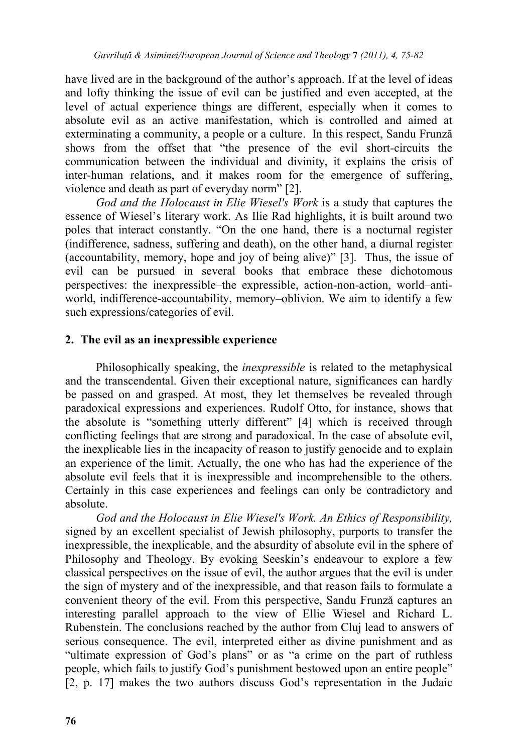have lived are in the background of the author's approach. If at the level of ideas and lofty thinking the issue of evil can be justified and even accepted, at the level of actual experience things are different, especially when it comes to absolute evil as an active manifestation, which is controlled and aimed at exterminating a community, a people or a culture. In this respect, Sandu Frunză shows from the offset that "the presence of the evil short-circuits the communication between the individual and divinity, it explains the crisis of inter-human relations, and it makes room for the emergence of suffering, violence and death as part of everyday norm" [2].

*God and the Holocaust in Elie Wiesel's Work* is a study that captures the essence of Wiesel's literary work. As Ilie Rad highlights, it is built around two poles that interact constantly. "On the one hand, there is a nocturnal register (indifference, sadness, suffering and death), on the other hand, a diurnal register (accountability, memory, hope and joy of being alive)" [3]. Thus, the issue of evil can be pursued in several books that embrace these dichotomous perspectives: the inexpressible–the expressible, action-non-action, world–antiworld, indifference-accountability, memory–oblivion. We aim to identify a few such expressions/categories of evil.

# **2. The evil as an inexpressible experience**

Philosophically speaking, the *inexpressible* is related to the metaphysical and the transcendental. Given their exceptional nature, significances can hardly be passed on and grasped. At most, they let themselves be revealed through paradoxical expressions and experiences. Rudolf Otto, for instance, shows that the absolute is "something utterly different" [4] which is received through conflicting feelings that are strong and paradoxical. In the case of absolute evil, the inexplicable lies in the incapacity of reason to justify genocide and to explain an experience of the limit. Actually, the one who has had the experience of the absolute evil feels that it is inexpressible and incomprehensible to the others. Certainly in this case experiences and feelings can only be contradictory and absolute.

*God and the Holocaust in Elie Wiesel's Work. An Ethics of Responsibility,* signed by an excellent specialist of Jewish philosophy, purports to transfer the inexpressible, the inexplicable, and the absurdity of absolute evil in the sphere of Philosophy and Theology. By evoking Seeskin's endeavour to explore a few classical perspectives on the issue of evil, the author argues that the evil is under the sign of mystery and of the inexpressible, and that reason fails to formulate a convenient theory of the evil. From this perspective, Sandu Frunză captures an interesting parallel approach to the view of Ellie Wiesel and Richard L. Rubenstein. The conclusions reached by the author from Cluj lead to answers of serious consequence. The evil, interpreted either as divine punishment and as "ultimate expression of God's plans" or as "a crime on the part of ruthless people, which fails to justify God's punishment bestowed upon an entire people" [2, p. 17] makes the two authors discuss God's representation in the Judaic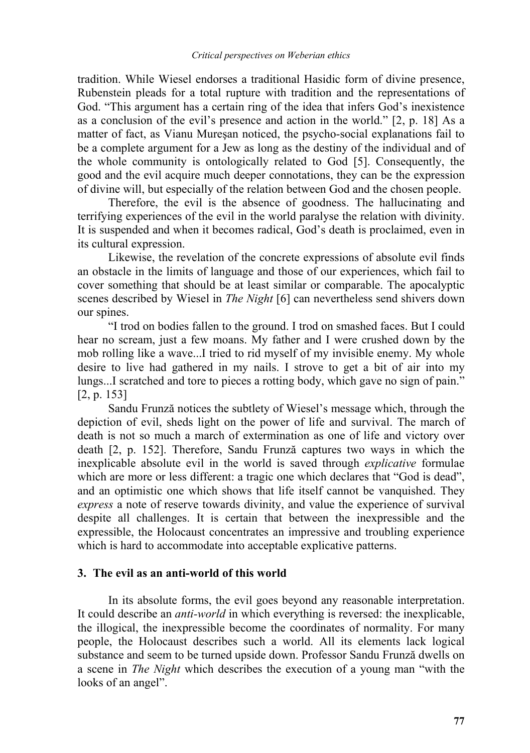tradition. While Wiesel endorses a traditional Hasidic form of divine presence, Rubenstein pleads for a total rupture with tradition and the representations of God. "This argument has a certain ring of the idea that infers God's inexistence as a conclusion of the evil's presence and action in the world." [2, p. 18] As a matter of fact, as Vianu Mureşan noticed, the psycho-social explanations fail to be a complete argument for a Jew as long as the destiny of the individual and of the whole community is ontologically related to God [5]. Consequently, the good and the evil acquire much deeper connotations, they can be the expression of divine will, but especially of the relation between God and the chosen people.

Therefore, the evil is the absence of goodness. The hallucinating and terrifying experiences of the evil in the world paralyse the relation with divinity. It is suspended and when it becomes radical, God's death is proclaimed, even in its cultural expression.

Likewise, the revelation of the concrete expressions of absolute evil finds an obstacle in the limits of language and those of our experiences, which fail to cover something that should be at least similar or comparable. The apocalyptic scenes described by Wiesel in *The Night* [6] can nevertheless send shivers down our spines.

"I trod on bodies fallen to the ground. I trod on smashed faces. But I could hear no scream, just a few moans. My father and I were crushed down by the mob rolling like a wave...I tried to rid myself of my invisible enemy. My whole desire to live had gathered in my nails. I strove to get a bit of air into my lungs...I scratched and tore to pieces a rotting body, which gave no sign of pain." [2, p. 153]

Sandu Frunză notices the subtlety of Wiesel's message which, through the depiction of evil, sheds light on the power of life and survival. The march of death is not so much a march of extermination as one of life and victory over death [2, p. 152]. Therefore, Sandu Frunză captures two ways in which the inexplicable absolute evil in the world is saved through *explicative* formulae which are more or less different: a tragic one which declares that "God is dead", and an optimistic one which shows that life itself cannot be vanquished. They *express* a note of reserve towards divinity, and value the experience of survival despite all challenges. It is certain that between the inexpressible and the expressible, the Holocaust concentrates an impressive and troubling experience which is hard to accommodate into acceptable explicative patterns.

### **3. The evil as an anti-world of this world**

In its absolute forms, the evil goes beyond any reasonable interpretation. It could describe an *anti-world* in which everything is reversed: the inexplicable, the illogical, the inexpressible become the coordinates of normality. For many people, the Holocaust describes such a world. All its elements lack logical substance and seem to be turned upside down. Professor Sandu Frunză dwells on a scene in *The Night* which describes the execution of a young man "with the looks of an angel".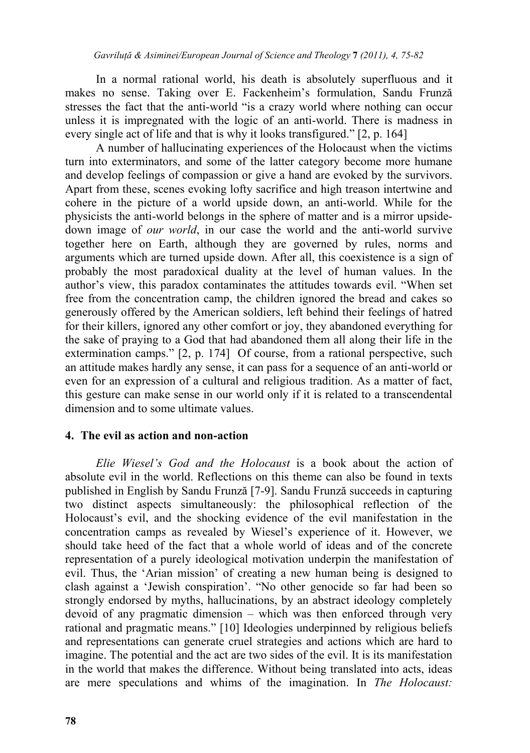In a normal rational world, his death is absolutely superfluous and it makes no sense. Taking over E. Fackenheim's formulation, Sandu Frunză stresses the fact that the anti-world "is a crazy world where nothing can occur unless it is impregnated with the logic of an anti-world. There is madness in every single act of life and that is why it looks transfigured." [2, p. 164]

A number of hallucinating experiences of the Holocaust when the victims turn into exterminators, and some of the latter category become more humane and develop feelings of compassion or give a hand are evoked by the survivors. Apart from these, scenes evoking lofty sacrifice and high treason intertwine and cohere in the picture of a world upside down, an anti-world. While for the physicists the anti-world belongs in the sphere of matter and is a mirror upsidedown image of *our world*, in our case the world and the anti-world survive together here on Earth, although they are governed by rules, norms and arguments which are turned upside down. After all, this coexistence is a sign of probably the most paradoxical duality at the level of human values. In the author's view, this paradox contaminates the attitudes towards evil. "When set free from the concentration camp, the children ignored the bread and cakes so generously offered by the American soldiers, left behind their feelings of hatred for their killers, ignored any other comfort or joy, they abandoned everything for the sake of praying to a God that had abandoned them all along their life in the extermination camps." [2, p. 174] Of course, from a rational perspective, such an attitude makes hardly any sense, it can pass for a sequence of an anti-world or even for an expression of a cultural and religious tradition. As a matter of fact, this gesture can make sense in our world only if it is related to a transcendental dimension and to some ultimate values.

## **4. The evil as action and non-action**

*Elie Wiesel's God and the Holocaust* is a book about the action of absolute evil in the world. Reflections on this theme can also be found in texts published in English by Sandu Frunză [7-9]. Sandu Frunză succeeds in capturing two distinct aspects simultaneously: the philosophical reflection of the Holocaust's evil, and the shocking evidence of the evil manifestation in the concentration camps as revealed by Wiesel's experience of it. However, we should take heed of the fact that a whole world of ideas and of the concrete representation of a purely ideological motivation underpin the manifestation of evil. Thus, the 'Arian mission' of creating a new human being is designed to clash against a 'Jewish conspiration'. "No other genocide so far had been so strongly endorsed by myths, hallucinations, by an abstract ideology completely devoid of any pragmatic dimension – which was then enforced through very rational and pragmatic means." [10] Ideologies underpinned by religious beliefs and representations can generate cruel strategies and actions which are hard to imagine. The potential and the act are two sides of the evil. It is its manifestation in the world that makes the difference. Without being translated into acts, ideas are mere speculations and whims of the imagination. In *The Holocaust:*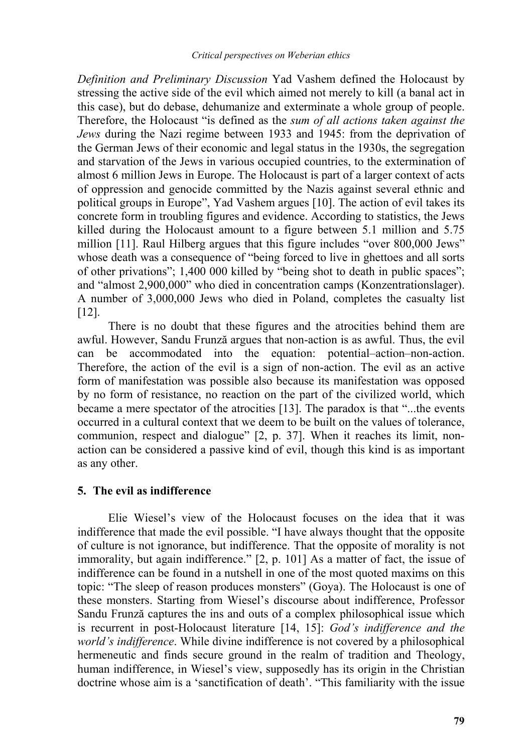*Definition and Preliminary Discussion* Yad Vashem defined the Holocaust by stressing the active side of the evil which aimed not merely to kill (a banal act in this case), but do debase, dehumanize and exterminate a whole group of people. Therefore, the Holocaust "is defined as the *sum of all actions taken against the Jews* during the Nazi regime between 1933 and 1945: from the deprivation of the German Jews of their economic and legal status in the 1930s, the segregation and starvation of the Jews in various occupied countries, to the extermination of almost 6 million Jews in Europe. The Holocaust is part of a larger context of acts of oppression and genocide committed by the Nazis against several ethnic and political groups in Europe", Yad Vashem argues [10]. The action of evil takes its concrete form in troubling figures and evidence. According to statistics, the Jews killed during the Holocaust amount to a figure between 5.1 million and 5.75 million [11]. Raul Hilberg argues that this figure includes "over 800,000 Jews" whose death was a consequence of "being forced to live in ghettoes and all sorts of other privations"; 1,400 000 killed by "being shot to death in public spaces"; and "almost 2,900,000" who died in concentration camps (Konzentrationslager). A number of 3,000,000 Jews who died in Poland, completes the casualty list [12].

There is no doubt that these figures and the atrocities behind them are awful. However, Sandu Frunză argues that non-action is as awful. Thus, the evil can be accommodated into the equation: potential–action–non-action. Therefore, the action of the evil is a sign of non-action. The evil as an active form of manifestation was possible also because its manifestation was opposed by no form of resistance, no reaction on the part of the civilized world, which became a mere spectator of the atrocities [13]. The paradox is that "...the events occurred in a cultural context that we deem to be built on the values of tolerance, communion, respect and dialogue" [2, p. 37]. When it reaches its limit, nonaction can be considered a passive kind of evil, though this kind is as important as any other.

# **5. The evil as indifference**

Elie Wiesel's view of the Holocaust focuses on the idea that it was indifference that made the evil possible. "I have always thought that the opposite of culture is not ignorance, but indifference. That the opposite of morality is not immorality, but again indifference." [2, p. 101] As a matter of fact, the issue of indifference can be found in a nutshell in one of the most quoted maxims on this topic: "The sleep of reason produces monsters" (Goya). The Holocaust is one of these monsters. Starting from Wiesel's discourse about indifference, Professor Sandu Frunză captures the ins and outs of a complex philosophical issue which is recurrent in post-Holocaust literature [14, 15]: *God's indifference and the world's indifference*. While divine indifference is not covered by a philosophical hermeneutic and finds secure ground in the realm of tradition and Theology, human indifference, in Wiesel's view, supposedly has its origin in the Christian doctrine whose aim is a 'sanctification of death'. "This familiarity with the issue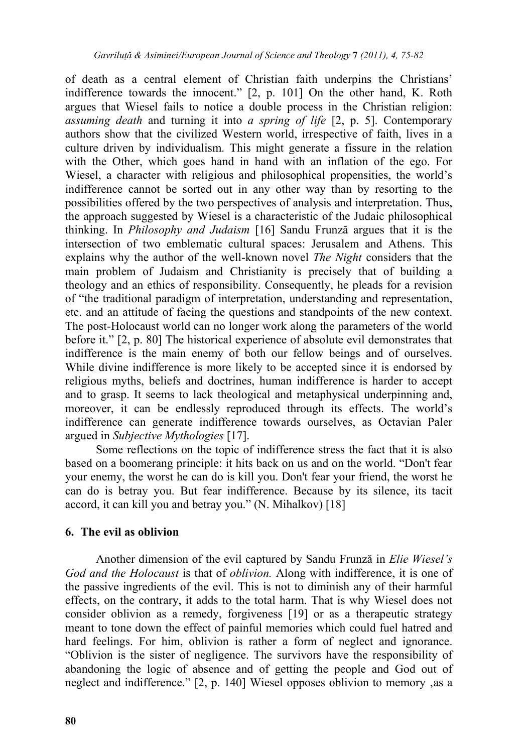of death as a central element of Christian faith underpins the Christians' indifference towards the innocent." [2, p. 101] On the other hand, K. Roth argues that Wiesel fails to notice a double process in the Christian religion: *assuming death* and turning it into *a spring of life* [2, p. 5]. Contemporary authors show that the civilized Western world, irrespective of faith, lives in a culture driven by individualism. This might generate a fissure in the relation with the Other, which goes hand in hand with an inflation of the ego. For Wiesel, a character with religious and philosophical propensities, the world's indifference cannot be sorted out in any other way than by resorting to the possibilities offered by the two perspectives of analysis and interpretation. Thus, the approach suggested by Wiesel is a characteristic of the Judaic philosophical thinking. In *Philosophy and Judaism* [16] Sandu Frunză argues that it is the intersection of two emblematic cultural spaces: Jerusalem and Athens. This explains why the author of the well-known novel *The Night* considers that the main problem of Judaism and Christianity is precisely that of building a theology and an ethics of responsibility. Consequently, he pleads for a revision of "the traditional paradigm of interpretation, understanding and representation, etc. and an attitude of facing the questions and standpoints of the new context. The post-Holocaust world can no longer work along the parameters of the world before it." [2, p. 80] The historical experience of absolute evil demonstrates that indifference is the main enemy of both our fellow beings and of ourselves. While divine indifference is more likely to be accepted since it is endorsed by religious myths, beliefs and doctrines, human indifference is harder to accept and to grasp. It seems to lack theological and metaphysical underpinning and, moreover, it can be endlessly reproduced through its effects. The world's indifference can generate indifference towards ourselves, as Octavian Paler argued in *Subjective Mythologies* [17].

Some reflections on the topic of indifference stress the fact that it is also based on a boomerang principle: it hits back on us and on the world. "Don't fear your enemy, the worst he can do is kill you. Don't fear your friend, the worst he can do is betray you. But fear indifference. Because by its silence, its tacit accord, it can kill you and betray you." (N. Mihalkov) [18]

# **6. The evil as oblivion**

Another dimension of the evil captured by Sandu Frunză in *Elie Wiesel's God and the Holocaust* is that of *oblivion.* Along with indifference, it is one of the passive ingredients of the evil. This is not to diminish any of their harmful effects, on the contrary, it adds to the total harm. That is why Wiesel does not consider oblivion as a remedy, forgiveness [19] or as a therapeutic strategy meant to tone down the effect of painful memories which could fuel hatred and hard feelings. For him, oblivion is rather a form of neglect and ignorance. "Oblivion is the sister of negligence. The survivors have the responsibility of abandoning the logic of absence and of getting the people and God out of neglect and indifference." [2, p. 140] Wiesel opposes oblivion to memory , as a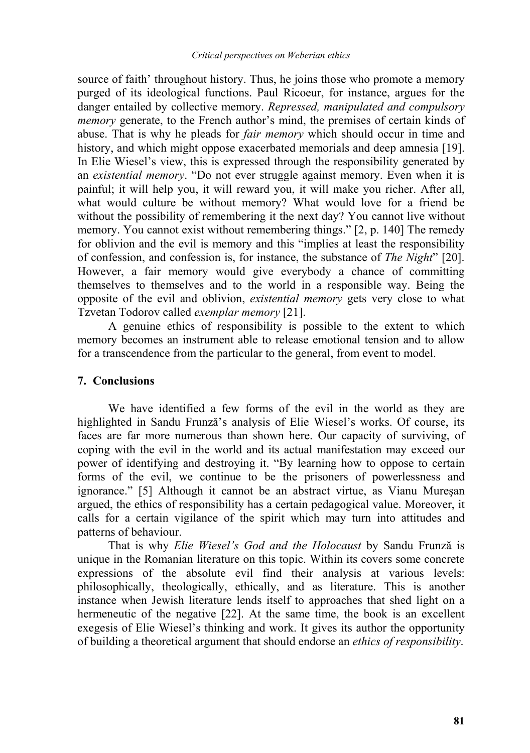source of faith' throughout history. Thus, he joins those who promote a memory purged of its ideological functions. Paul Ricoeur, for instance, argues for the danger entailed by collective memory. *Repressed, manipulated and compulsory memory* generate, to the French author's mind, the premises of certain kinds of abuse. That is why he pleads for *fair memory* which should occur in time and history, and which might oppose exacerbated memorials and deep amnesia [19]. In Elie Wiesel's view, this is expressed through the responsibility generated by an *existential memory*. "Do not ever struggle against memory. Even when it is painful; it will help you, it will reward you, it will make you richer. After all, what would culture be without memory? What would love for a friend be without the possibility of remembering it the next day? You cannot live without memory. You cannot exist without remembering things." [2, p. 140] The remedy for oblivion and the evil is memory and this "implies at least the responsibility of confession, and confession is, for instance, the substance of *The Night*" [20]. However, a fair memory would give everybody a chance of committing themselves to themselves and to the world in a responsible way. Being the opposite of the evil and oblivion, *existential memory* gets very close to what Tzvetan Todorov called *exemplar memory* [21].

A genuine ethics of responsibility is possible to the extent to which memory becomes an instrument able to release emotional tension and to allow for a transcendence from the particular to the general, from event to model.

## **7. Conclusions**

We have identified a few forms of the evil in the world as they are highlighted in Sandu Frunză's analysis of Elie Wiesel's works. Of course, its faces are far more numerous than shown here. Our capacity of surviving, of coping with the evil in the world and its actual manifestation may exceed our power of identifying and destroying it. "By learning how to oppose to certain forms of the evil, we continue to be the prisoners of powerlessness and ignorance." [5] Although it cannot be an abstract virtue, as Vianu Mureşan argued, the ethics of responsibility has a certain pedagogical value. Moreover, it calls for a certain vigilance of the spirit which may turn into attitudes and patterns of behaviour.

That is why *Elie Wiesel's God and the Holocaust* by Sandu Frunză is unique in the Romanian literature on this topic. Within its covers some concrete expressions of the absolute evil find their analysis at various levels: philosophically, theologically, ethically, and as literature. This is another instance when Jewish literature lends itself to approaches that shed light on a hermeneutic of the negative [22]. At the same time, the book is an excellent exegesis of Elie Wiesel's thinking and work. It gives its author the opportunity of building a theoretical argument that should endorse an *ethics of responsibility*.